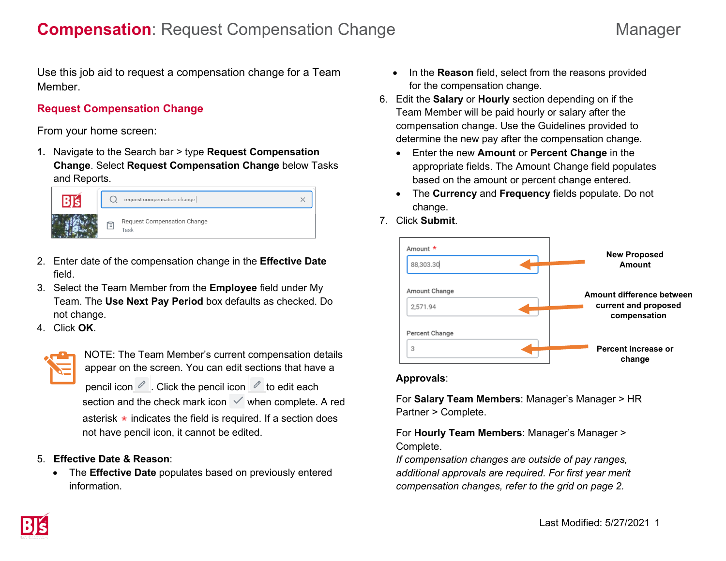Use this job aid to request a compensation change for a Team Member.

## **Request Compensation Change**

From your home screen:

**1.** Navigate to the Search bar > type **Request Compensation Change**. Select **Request Compensation Change** below Tasks and Reports.



- 2. Enter date of the compensation change in the **Effective Date** field.
- 3. Select the Team Member from the **Employee** field under My Team. The **Use Next Pay Period** box defaults as checked. Do not change.
- 4. Click **OK**.



NOTE: The Team Member's current compensation details appear on the screen. You can edit sections that have a

pencil icon  $\ell$ . Click the pencil icon  $\ell$  to edit each section and the check mark icon  $\vee$  when complete. A red asterisk  $\star$  indicates the field is required. If a section does not have pencil icon, it cannot be edited.

### 5. **Effective Date & Reason**:

• The **Effective Date** populates based on previously entered information.

- In the **Reason** field, select from the reasons provided for the compensation change.
- 6. Edit the **Salary** or **Hourly** section depending on if the Team Member will be paid hourly or salary after the compensation change. Use the Guidelines provided to determine the new pay after the compensation change.
	- Enter the new **Amount** or **Percent Change** in the appropriate fields. The Amount Change field populates based on the amount or percent change entered.
	- The **Currency** and **Frequency** fields populate. Do not change.
- 7. Click **Submit**.



### **Approvals**:

For **Salary Team Members**: Manager's Manager > HR Partner > Complete.

For **Hourly Team Members**: Manager's Manager > Complete.

*If compensation changes are outside of pay ranges, additional approvals are required. For first year merit compensation changes, refer to the grid on page 2.*